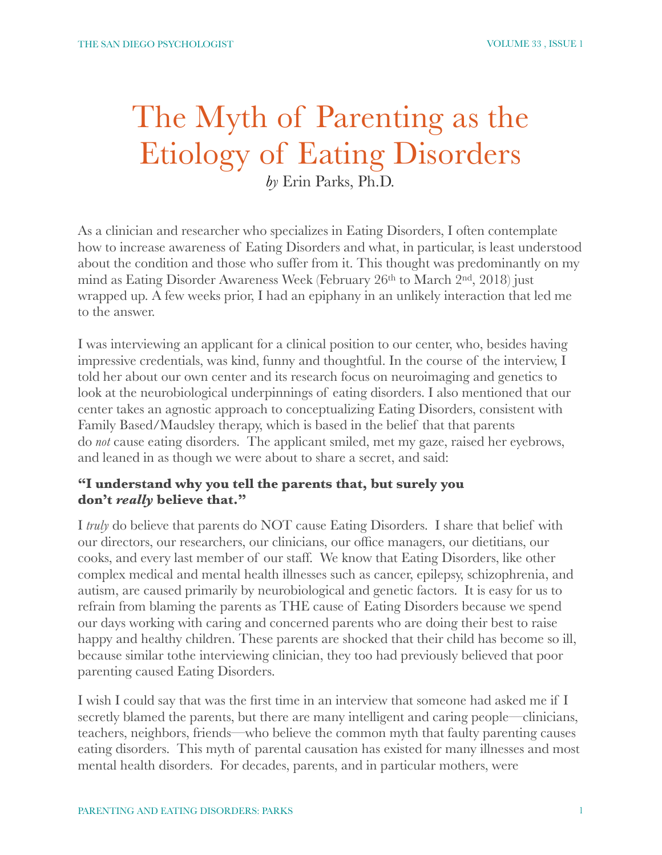# The Myth of Parenting as the Etiology of Eating Disorders

*by* Erin Parks, Ph.D.

As a clinician and researcher who specializes in Eating Disorders, I often contemplate how to increase awareness of Eating Disorders and what, in particular, is least understood about the condition and those who suffer from it. This thought was predominantly on my mind as Eating Disorder Awareness Week (February 26th to March 2nd, 2018) just wrapped up. A few weeks prior, I had an epiphany in an unlikely interaction that led me to the answer.

I was interviewing an applicant for a clinical position to our center, who, besides having impressive credentials, was kind, funny and thoughtful. In the course of the interview, I told her about our own center and its research focus on neuroimaging and genetics to look at the neurobiological underpinnings of eating disorders. I also mentioned that our center takes an agnostic approach to conceptualizing Eating Disorders, consistent with Family Based/Maudsley therapy, which is based in the belief that that parents do *not* cause eating disorders. The applicant smiled, met my gaze, raised her eyebrows, and leaned in as though we were about to share a secret, and said:

### **"I understand why you tell the parents that, but surely you don't** *really* **believe that."**

I *truly* do believe that parents do NOT cause Eating Disorders. I share that belief with our directors, our researchers, our clinicians, our office managers, our dietitians, our cooks, and every last member of our staff. We know that Eating Disorders, like other complex medical and mental health illnesses such as cancer, epilepsy, schizophrenia, and autism, are caused primarily by neurobiological and genetic factors. It is easy for us to refrain from blaming the parents as THE cause of Eating Disorders because we spend our days working with caring and concerned parents who are doing their best to raise happy and healthy children. These parents are shocked that their child has become so ill, because similar tothe interviewing clinician, they too had previously believed that poor parenting caused Eating Disorders.

I wish I could say that was the first time in an interview that someone had asked me if I secretly blamed the parents, but there are many intelligent and caring people—clinicians, teachers, neighbors, friends—who believe the common myth that faulty parenting causes eating disorders. This myth of parental causation has existed for many illnesses and most mental health disorders. For decades, parents, and in particular mothers, were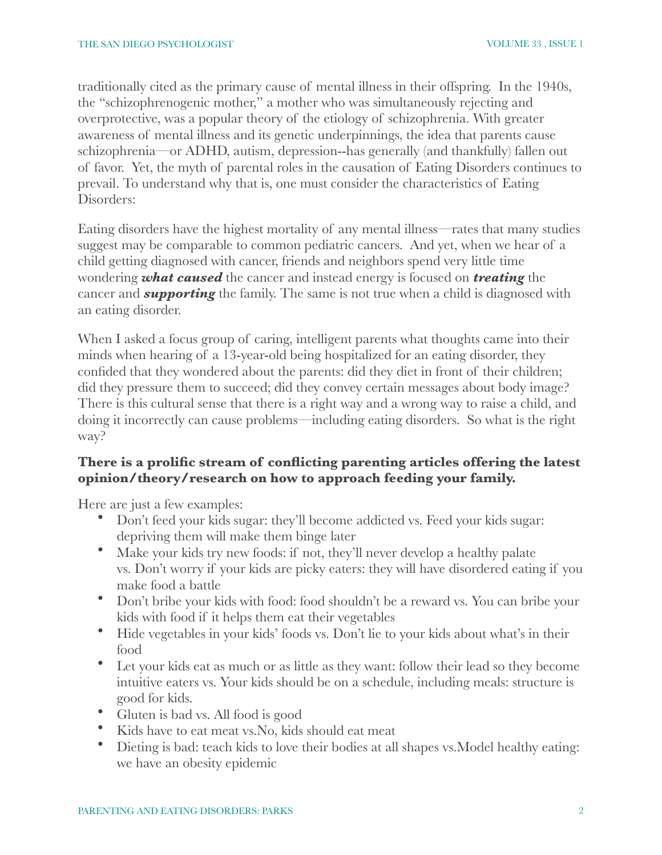traditionally cited as the primary cause of mental illness in their offspring. In the 1940s, the "schizophrenogenic mother," a mother who was simultaneously rejecting and overprotective, was a popular theory of the etiology of schizophrenia. With greater awareness of mental illness and its genetic underpinnings, the idea that parents cause schizophrenia—or ADHD, autism, depression--has generally (and thankfully) fallen out of favor. Yet, the myth of parental roles in the causation of Eating Disorders continues to prevail. To understand why that is, one must consider the characteristics of Eating Disorders:

Eating disorders have the highest mortality of any mental illness—rates that many studies suggest may be comparable to common pediatric cancers. And yet, when we hear of a child getting diagnosed with cancer, friends and neighbors spend very little time wondering *what caused* the cancer and instead energy is focused on *treating* the cancer and *supporting* the family. The same is not true when a child is diagnosed with an eating disorder.

When I asked a focus group of caring, intelligent parents what thoughts came into their minds when hearing of a 13-year-old being hospitalized for an eating disorder, they confided that they wondered about the parents: did they diet in front of their children; did they pressure them to succeed; did they convey certain messages about body image? There is this cultural sense that there is a right way and a wrong way to raise a child, and doing it incorrectly can cause problems—including eating disorders. So what is the right way?

# **There is a prolific stream of conflicting parenting articles offering the latest opinion/theory/research on how to approach feeding your family.**

Here are just a few examples:

- Don't feed your kids sugar: they'll become addicted vs. Feed your kids sugar: depriving them will make them binge later
- Make your kids try new foods: if not, they'll never develop a healthy palate vs. Don't worry if your kids are picky eaters: they will have disordered eating if you make food a battle
- Don't bribe your kids with food: food shouldn't be a reward vs. You can bribe your kids with food if it helps them eat their vegetables
- Hide vegetables in your kids' foods vs. Don't lie to your kids about what's in their food
- Let your kids eat as much or as little as they want: follow their lead so they become intuitive eaters vs. Your kids should be on a schedule, including meals: structure is good for kids.
- Gluten is bad vs. All food is good
- Kids have to eat meat vs. No, kids should eat meat
- Dieting is bad: teach kids to love their bodies at all shapes vs.Model healthy eating: we have an obesity epidemic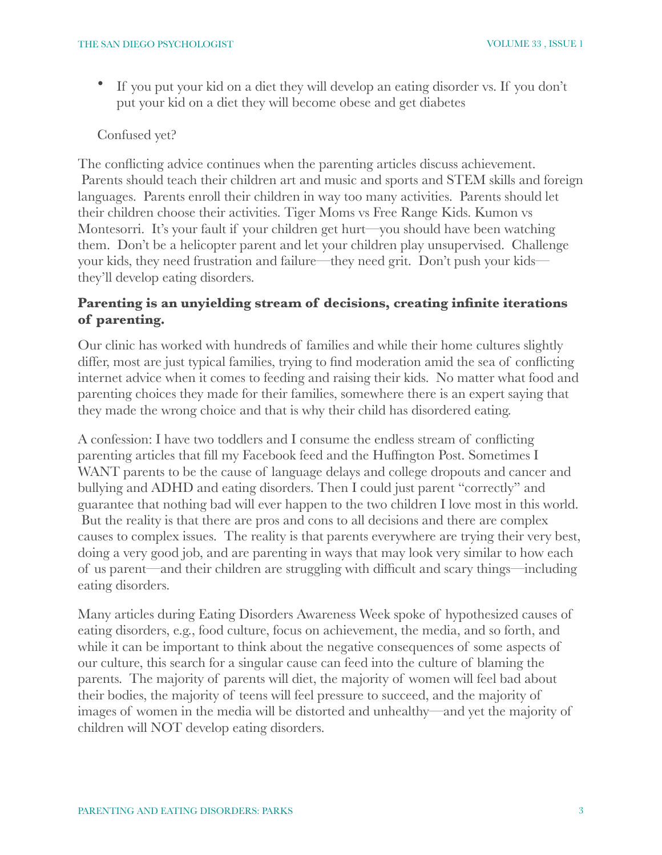If you put your kid on a diet they will develop an eating disorder vs. If you don't put your kid on a diet they will become obese and get diabetes

### Confused yet?

The conflicting advice continues when the parenting articles discuss achievement. Parents should teach their children art and music and sports and STEM skills and foreign languages. Parents enroll their children in way too many activities. Parents should let their children choose their activities. Tiger Moms vs Free Range Kids. Kumon vs Montesorri. It's your fault if your children get hurt—you should have been watching them. Don't be a helicopter parent and let your children play unsupervised. Challenge your kids, they need frustration and failure—they need grit. Don't push your kids they'll develop eating disorders.

# **Parenting is an unyielding stream of decisions, creating infinite iterations of parenting.**

Our clinic has worked with hundreds of families and while their home cultures slightly differ, most are just typical families, trying to find moderation amid the sea of conflicting internet advice when it comes to feeding and raising their kids. No matter what food and parenting choices they made for their families, somewhere there is an expert saying that they made the wrong choice and that is why their child has disordered eating.

A confession: I have two toddlers and I consume the endless stream of conflicting parenting articles that fill my Facebook feed and the Huffington Post. Sometimes I WANT parents to be the cause of language delays and college dropouts and cancer and bullying and ADHD and eating disorders. Then I could just parent "correctly" and guarantee that nothing bad will ever happen to the two children I love most in this world. But the reality is that there are pros and cons to all decisions and there are complex causes to complex issues. The reality is that parents everywhere are trying their very best, doing a very good job, and are parenting in ways that may look very similar to how each of us parent—and their children are struggling with difficult and scary things—including eating disorders.

Many articles during Eating Disorders Awareness Week spoke of hypothesized causes of eating disorders, e.g., food culture, focus on achievement, the media, and so forth, and while it can be important to think about the negative consequences of some aspects of our culture, this search for a singular cause can feed into the culture of blaming the parents. The majority of parents will diet, the majority of women will feel bad about their bodies, the majority of teens will feel pressure to succeed, and the majority of images of women in the media will be distorted and unhealthy—and yet the majority of children will NOT develop eating disorders.